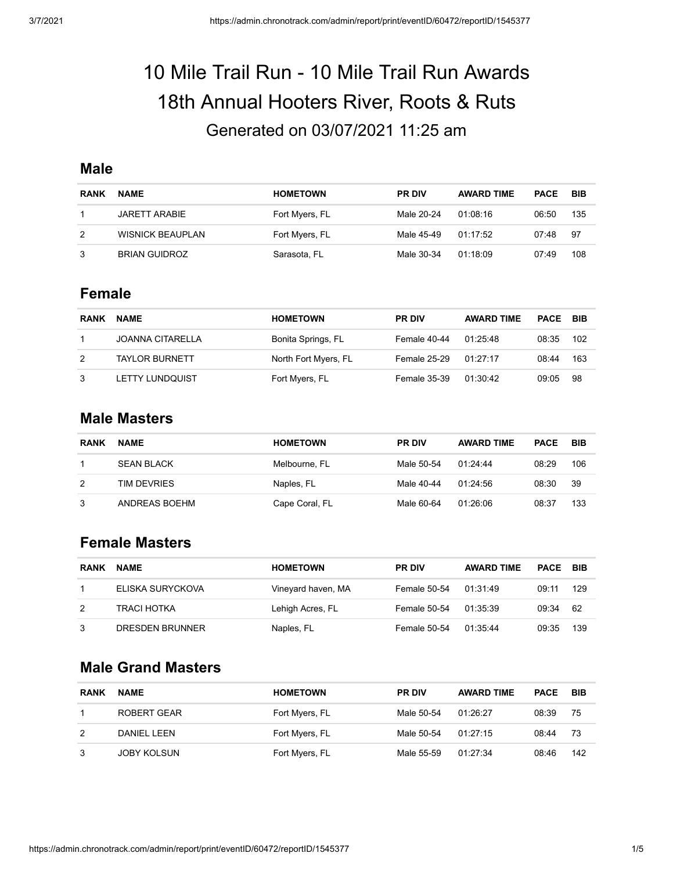# 10 Mile Trail Run - 10 Mile Trail Run Awards 18th Annual Hooters River, Roots & Ruts Generated on 03/07/2021 11:25 am

### **Male**

| <b>RANK</b> | <b>NAME</b>             | <b>HOMETOWN</b> | <b>PR DIV</b> | <b>AWARD TIME</b> | <b>PACE</b> | BIB |
|-------------|-------------------------|-----------------|---------------|-------------------|-------------|-----|
|             | JARETT ARABIE           | Fort Myers, FL  | Male 20-24    | 01:08:16          | 06:50       | 135 |
| 2           | <b>WISNICK BEAUPLAN</b> | Fort Myers, FL  | Male 45-49    | 01 17:52          | 07:48       | -97 |
|             | <b>BRIAN GUIDROZ</b>    | Sarasota, FL    | Male 30-34    | 01:18:09          | 07:49       | 108 |

#### **Female**

| <b>RANK</b> | <b>NAME</b>             | <b>HOMETOWN</b>      | <b>PR DIV</b> | <b>AWARD TIME</b> | PACE  | <b>BIB</b> |
|-------------|-------------------------|----------------------|---------------|-------------------|-------|------------|
|             | <b>JOANNA CITARELLA</b> | Bonita Springs, FL   | Female 40-44  | 01 25:48          | 08:35 | 102        |
| 2           | <b>TAYLOR BURNETT</b>   | North Fort Myers, FL | Female 25-29  | 01:27:17          | 08:44 | 163        |
| 3           | <b>LETTY LUNDQUIST</b>  | Fort Myers, FL       | Female 35-39  | 01:30:42          | 09:05 | 98         |

#### **Male Masters**

| <b>RANK</b> | <b>NAME</b>        | <b>HOMETOWN</b> | <b>PR DIV</b> | <b>AWARD TIME</b> | <b>PACE</b> | BIB |
|-------------|--------------------|-----------------|---------------|-------------------|-------------|-----|
|             | <b>SEAN BLACK</b>  | Melbourne, FL   | Male 50-54    | 01.24.44          | 08:29       | 106 |
| 2           | <b>TIM DEVRIES</b> | Naples, FL      | Male 40-44    | 01.24.56          | 08:30       | 39  |
| 3           | ANDREAS BOEHM      | Cape Coral, FL  | Male 60-64    | 01:26:06          | 08:37       | 133 |

## **Female Masters**

| <b>RANK</b> | <b>NAME</b>        | <b>HOMETOWN</b>    | <b>PR DIV</b> | <b>AWARD TIME</b> | PACE  | BIB |
|-------------|--------------------|--------------------|---------------|-------------------|-------|-----|
|             | ELISKA SURYCKOVA   | Vineyard haven, MA | Female 50-54  | 01:31:49          | 09:11 | 129 |
| 2           | <b>TRACI HOTKA</b> | Lehigh Acres, FL   | Female 50-54  | 01:35:39          | 09:34 | -62 |
| 3           | DRESDEN BRUNNER    | Naples, FL         | Female 50-54  | 01:35:44          | 09:35 | 139 |

## **Male Grand Masters**

| <b>RANK</b> | <b>NAME</b>        | <b>HOMETOWN</b> | <b>PR DIV</b> | <b>AWARD TIME</b> | <b>PACE</b> | BIB |
|-------------|--------------------|-----------------|---------------|-------------------|-------------|-----|
|             | ROBERT GEAR        | Fort Myers, FL  | Male 50-54    | 01:26:27          | 08:39       | 75  |
| 2           | DANIEL LEEN        | Fort Myers, FL  | Male 50-54    | 01:27:15          | 08:44       | -73 |
| 3           | <b>JOBY KOLSUN</b> | Fort Myers, FL  | Male 55-59    | 01:27:34          | 08:46       | 142 |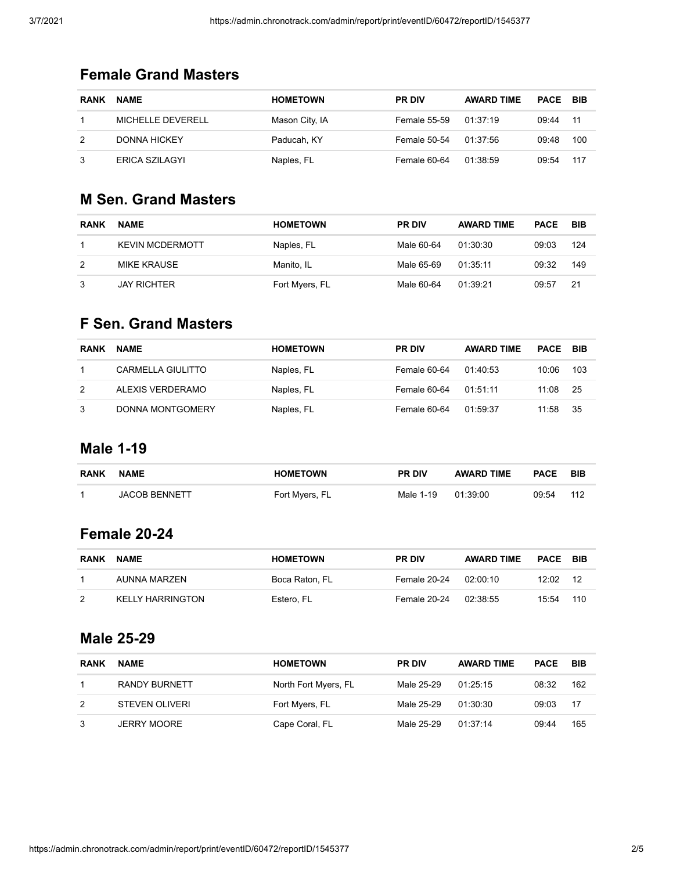# **Female Grand Masters**

| <b>RANK</b> | <b>NAME</b>         | <b>HOMETOWN</b> | <b>PR DIV</b>       | <b>AWARD TIME</b> | <b>PACE BIB</b> |     |
|-------------|---------------------|-----------------|---------------------|-------------------|-----------------|-----|
|             | MICHELLE DEVERELL   | Mason City, IA  | <b>Female 55-59</b> | 01:37:19          | 09:44           | -11 |
|             | <b>DONNA HICKEY</b> | Paducah, KY     | Female 50-54        | 01:37:56          | 09:48           | 100 |
| 3           | ERICA SZILAGYI      | Naples, FL      | Female 60-64        | 01:38:59          | 09:54           | 117 |

# **M Sen. Grand Masters**

| <b>RANK</b> | <b>NAME</b>            | <b>HOMETOWN</b> | <b>PR DIV</b> | <b>AWARD TIME</b> | <b>PACE</b> | BIB |
|-------------|------------------------|-----------------|---------------|-------------------|-------------|-----|
|             | <b>KEVIN MCDERMOTT</b> | Naples, FL      | Male 60-64    | 01:30:30          | 09:03       | 124 |
| 2           | MIKE KRAUSE            | Manito, IL      | Male 65-69    | 01.35.11          | 09:32       | 149 |
| 3           | <b>JAY RICHTER</b>     | Fort Myers, FL  | Male 60-64    | 01:39:21          | 09:57       | 21  |

# **F Sen. Grand Masters**

| <b>RANK</b> | <b>NAME</b>              | <b>HOMETOWN</b> | <b>PR DIV</b> | <b>AWARD TIME</b> | <b>PACE</b> | BIB |
|-------------|--------------------------|-----------------|---------------|-------------------|-------------|-----|
|             | <b>CARMELLA GIULITTO</b> | Naples, FL      | Female 60-64  | 01:40:53          | 10:06       | 103 |
| 2           | ALEXIS VERDERAMO         | Naples, FL      | Female 60-64  | 01:51:11          | 11:08       | -25 |
|             | DONNA MONTGOMERY         | Naples, FL      | Female 60-64  | 01:59:37          | 11:58       | 35  |

## **Male 1-19**

| <b>RANK</b> | <b>NAME</b>          | <b>HOMETOWN</b> | <b>PR DIV</b> | <b>AWARD TIME</b> | <b>PACE</b> | BIB |
|-------------|----------------------|-----------------|---------------|-------------------|-------------|-----|
|             | <b>JACOB BENNETT</b> | Fort Myers, FL  | Male 1-19     | 01:39:00          | 09:54       | 112 |

#### **Female 20-24**

| <b>RANK</b> | <b>NAME</b>             | <b>HOMETOWN</b> | <b>PR DIV</b> | <b>AWARD TIME</b> | <b>PACE</b> | - BIB |
|-------------|-------------------------|-----------------|---------------|-------------------|-------------|-------|
|             | AUNNA MARZEN            | Boca Raton. FL  | Female 20-24  | 02:00:10          | 12:02       | -12   |
| 2           | <b>KELLY HARRINGTON</b> | Estero, FL      | Female 20-24  | 02:38:55          | 15:54       | 110   |

# **Male 25-29**

| <b>RANK</b> | <b>NAME</b>           | <b>HOMETOWN</b>      | <b>PR DIV</b> | <b>AWARD TIME</b> | <b>PACE</b> | BIB |
|-------------|-----------------------|----------------------|---------------|-------------------|-------------|-----|
|             | RANDY BURNETT         | North Fort Myers, FL | Male 25-29    | 01:25:15          | 08:32       | 162 |
| 2           | <b>STEVEN OLIVERI</b> | Fort Myers, FL       | Male 25-29    | 01:30:30          | 09:03       | -17 |
| 3           | <b>JERRY MOORE</b>    | Cape Coral, FL       | Male 25-29    | 01:37:14          | 09:44       | 165 |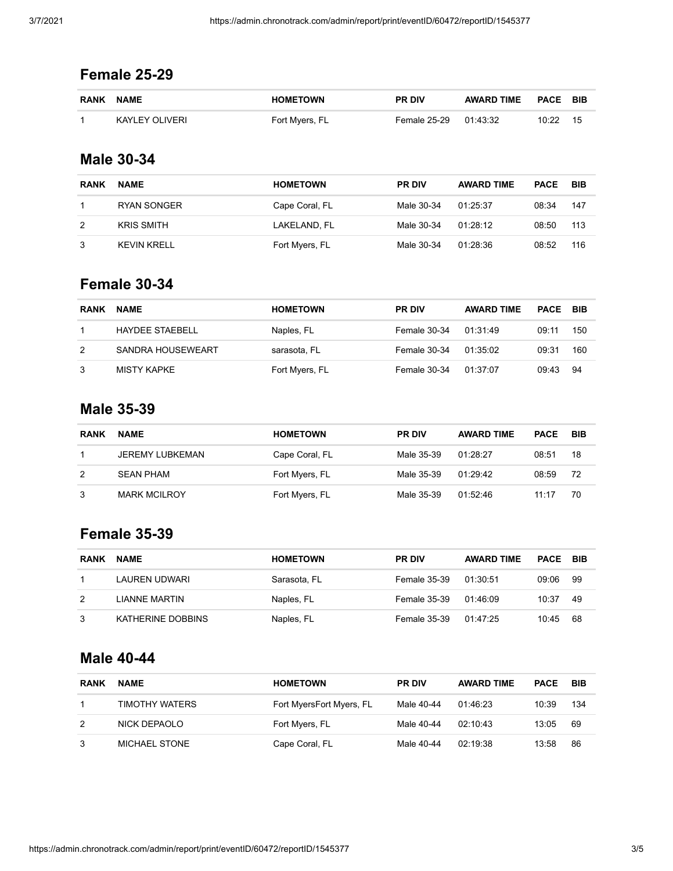# **Female 25-29**

| <b>RANK NAME</b> | <b>HOMETOWN</b> | <b>PR DIV</b>         | AWARD TIME | <b>PACE BIB</b> |    |
|------------------|-----------------|-----------------------|------------|-----------------|----|
| KAYLEY OLIVERI   | Fort Myers, FL  | Female 25-29 01:43:32 |            | 10.22           | 15 |

# **Male 30-34**

| <b>RANK</b> | <b>NAME</b>       | <b>HOMETOWN</b> | <b>PR DIV</b> | <b>AWARD TIME</b> | <b>PACE</b> | BIB |
|-------------|-------------------|-----------------|---------------|-------------------|-------------|-----|
|             | RYAN SONGER       | Cape Coral, FL  | Male 30-34    | 01:25:37          | 08:34       | 147 |
| 2           | <b>KRIS SMITH</b> | LAKELAND. FL    | Male 30-34    | 01.28.12          | 08:50       | 113 |
| 3           | KEVIN KRELL       | Fort Myers, FL  | Male 30-34    | 01.28.36          | 08:52       | 116 |

# **Female 30-34**

| <b>RANK</b> | <b>NAME</b>       | <b>HOMETOWN</b> | <b>PR DIV</b> | <b>AWARD TIME</b> | <b>PACE</b> | – BIB |
|-------------|-------------------|-----------------|---------------|-------------------|-------------|-------|
|             | HAYDEE STAEBELL   | Naples, FL      | Female 30-34  | 01:31:49          | 09:11       | 150   |
| 2           | SANDRA HOUSEWEART | sarasota, FL    | Female 30-34  | 01.35.02          | 09:31       | 160   |
| 3           | MISTY KAPKE       | Fort Myers, FL  | Female 30-34  | 01:37:07          | 09:43       | -94   |

# **Male 35-39**

| <b>RANK</b> | <b>NAME</b>            | <b>HOMETOWN</b> | <b>PR DIV</b> | <b>AWARD TIME</b> | <b>PACE</b> | BIB |
|-------------|------------------------|-----------------|---------------|-------------------|-------------|-----|
|             | <b>JEREMY LUBKEMAN</b> | Cape Coral, FL  | Male 35-39    | 01:28:27          | 08:51       | 18  |
| 2           | <b>SEAN PHAM</b>       | Fort Myers, FL  | Male 35-39    | 01.29.42          | 08:59       | -72 |
| 3           | <b>MARK MCILROY</b>    | Fort Myers, FL  | Male 35-39    | 01.52.46          | 11.17       | 70  |

# **Female 35-39**

| <b>RANK</b> | <b>NAME</b>       | <b>HOMETOWN</b> | <b>PR DIV</b> | <b>AWARD TIME</b> | <b>PACE</b> | BIB |
|-------------|-------------------|-----------------|---------------|-------------------|-------------|-----|
|             | LAUREN UDWARI     | Sarasota, FL    | Female 35-39  | 01:30:51          | 09:06       | 99  |
| 2           | LIANNE MARTIN     | Naples, FL      | Female 35-39  | 01:46:09          | 10:37       | 49  |
| 3           | KATHERINE DOBBINS | Naples, FL      | Female 35-39  | 01:47:25          | 10:45       | 68  |

# **Male 40-44**

| <b>RANK</b> | <b>NAME</b>    | <b>HOMETOWN</b>          | <b>PR DIV</b> | <b>AWARD TIME</b> | <b>PACE</b> | BIB |
|-------------|----------------|--------------------------|---------------|-------------------|-------------|-----|
|             | TIMOTHY WATERS | Fort MyersFort Myers, FL | Male 40-44    | 01 46 23          | 10:39       | 134 |
| 2           | NICK DEPAOLO   | Fort Myers, FL           | Male 40-44    | 02, 10, 43        | 13:05       | 69  |
|             | MICHAEL STONE  | Cape Coral, FL           | Male 40-44    | 02:19:38          | 13:58       | 86  |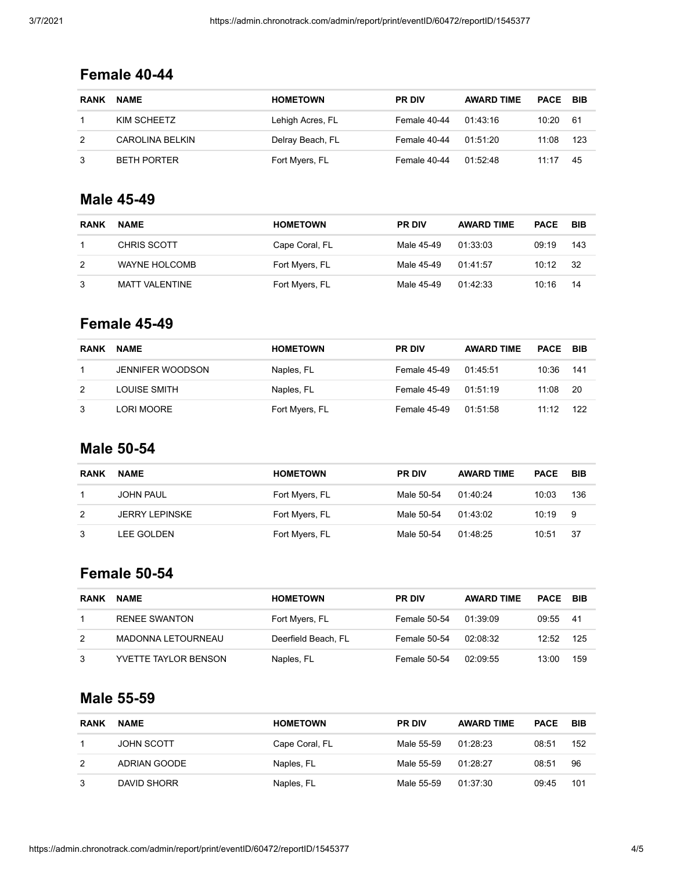# **Female 40-44**

| <b>RANK</b> | <b>NAME</b>        | <b>HOMETOWN</b>  | <b>PR DIV</b> | <b>AWARD TIME</b> | <b>PACE BIB</b> |     |
|-------------|--------------------|------------------|---------------|-------------------|-----------------|-----|
|             | KIM SCHEETZ        | Lehigh Acres, FL | Female 40-44  | 01:43:16          | 10:20           | -61 |
|             | CAROLINA BELKIN    | Delray Beach, FL | Female 40-44  | 01:51:20          | 11:08           | 123 |
|             | <b>BETH PORTER</b> | Fort Myers, FL   | Female 40-44  | 01:52.48          | 11:17           | 45  |

## **Male 45-49**

| <b>RANK</b> | <b>NAME</b>          | <b>HOMETOWN</b> | <b>PR DIV</b> | <b>AWARD TIME</b> | <b>PACE</b> | BIB |
|-------------|----------------------|-----------------|---------------|-------------------|-------------|-----|
|             | CHRIS SCOTT          | Cape Coral, FL  | Male 45-49    | 01:33:03          | 09:19       | 143 |
| 2           | <b>WAYNE HOLCOMB</b> | Fort Myers, FL  | Male 45-49    | 01.41.57          | 10:12       | -32 |
| 3           | MATT VALENTINE       | Fort Myers, FL  | Male 45-49    | 01:42:33          | 10:16       | 14  |

#### **Female 45-49**

| <b>RANK</b> | <b>NAME</b>             | <b>HOMETOWN</b> | <b>PR DIV</b> | <b>AWARD TIME</b> | <b>PACE</b> | – BIB |
|-------------|-------------------------|-----------------|---------------|-------------------|-------------|-------|
|             | <b>JENNIFER WOODSON</b> | Naples, FL      | Female 45-49  | 01:45:51          | 10:36       | 141   |
| 2           | LOUISE SMITH            | Naples, FL      | Female 45-49  | 01:51:19          | 11:08       | -20   |
| 3           | LORI MOORE              | Fort Myers, FL  | Female 45-49  | 01:51:58          | 11:12       | -122  |

# **Male 50-54**

| <b>RANK</b> | <b>NAME</b>           | <b>HOMETOWN</b> | <b>PR DIV</b> | <b>AWARD TIME</b> | <b>PACE</b> | BIB |
|-------------|-----------------------|-----------------|---------------|-------------------|-------------|-----|
|             | JOHN PAUL             | Fort Myers, FL  | Male 50-54    | 01:40:24          | 10:03       | 136 |
| 2           | <b>JERRY LEPINSKE</b> | Fort Myers, FL  | Male 50-54    | 01:43:02          | 10:19       | -9  |
| 3           | LEE GOLDEN            | Fort Myers, FL  | Male 50-54    | 01:48:25          | 10:51       | -37 |

# **Female 50-54**

| <b>RANK</b> | <b>NAME</b>               | <b>HOMETOWN</b>     | <b>PR DIV</b> | <b>AWARD TIME</b> | <b>PACE</b> | BIB  |
|-------------|---------------------------|---------------------|---------------|-------------------|-------------|------|
|             | <b>RENEE SWANTON</b>      | Fort Myers, FL      | Female 50-54  | 01:39:09          | 09:55       | -41  |
| 2           | <b>MADONNA LETOURNEAU</b> | Deerfield Beach, FL | Female 50-54  | 02:08:32          | 12:52       | -125 |
| 3           | YVETTE TAYLOR BENSON      | Naples, FL          | Female 50-54  | 02:09:55          | 13:00       | 159  |

## **Male 55-59**

| <b>RANK</b> | <b>NAME</b>  | <b>HOMETOWN</b> | <b>PR DIV</b> | <b>AWARD TIME</b> | <b>PACE</b> | BIB |
|-------------|--------------|-----------------|---------------|-------------------|-------------|-----|
|             | JOHN SCOTT   | Cape Coral, FL  | Male 55-59    | 01:28:23          | 08:51       | 152 |
| 2           | ADRIAN GOODE | Naples, FL      | Male 55-59    | 01.28.27          | 08:51       | 96  |
| 3           | DAVID SHORR  | Naples, FL      | Male 55-59    | 01:37:30          | 09:45       | 101 |